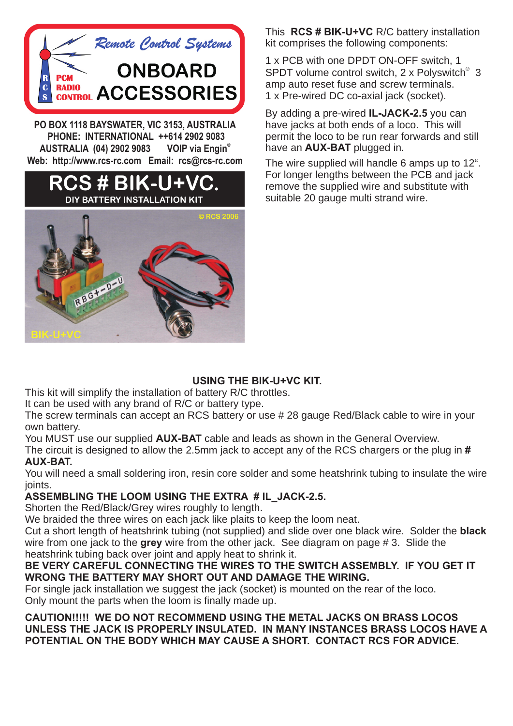

**PO BOX 1118 BAYSWATER, VIC 3153, AUSTRALIA PHONE: INTERNATIONAL ++614 2902 9083 VOIP** via Engin<sup>®</sup> **AUSTRALIA (04) 2902 9083 Web: http://www.rcs-rc.com Email: rcs@rcs-rc.com**



This **RCS # BIK-U+VC** R/C battery installation kit comprises the following components:

1 x PCB with one DPDT ON-OFF switch, 1 SPDT volume control switch, 2 x Polyswitch<sup>®</sup> 3 amp auto reset fuse and screw terminals. 1 x Pre-wired DC co-axial jack (socket).

By adding a pre-wired **IL-JACK-2.5** you can have jacks at both ends of a loco. This will permit the loco to be run rear forwards and still have an **AUX-BAT** plugged in.

The wire supplied will handle 6 amps up to 12". For longer lengths between the PCB and jack remove the supplied wire and substitute with suitable 20 gauge multi strand wire.

### **USING THE BIK-U+VC KIT.**

This kit will simplify the installation of battery R/C throttles.

It can be used with any brand of R/C or battery type.

The screw terminals can accept an RCS battery or use # 28 gauge Red/Black cable to wire in your own battery.

You MUST use our supplied **AUX-BAT** cable and leads as shown in the General Overview.

The circuit is designed to allow the 2.5mm jack to accept any of the RCS chargers or the plug in **# AUX-BAT.**

You will need a small soldering iron, resin core solder and some heatshrink tubing to insulate the wire joints.

### **ASSEMBLING THE LOOM USING THE EXTRA # IL\_JACK-2.5.**

Shorten the Red/Black/Grey wires roughly to length.

We braided the three wires on each jack like plaits to keep the loom neat.

Cut a short length of heatshrink tubing (not supplied) and slide over one black wire. Solder the **black** wire from one jack to the **grey** wire from the other jack. See diagram on page # 3. Slide the heatshrink tubing back over joint and apply heat to shrink it.

#### **BE VERY CAREFUL CONNECTING THE WIRES TO THE SWITCH ASSEMBLY. IF YOU GET IT WRONG THE BATTERY MAY SHORT OUT AND DAMAGE THE WIRING.**

For single jack installation we suggest the jack (socket) is mounted on the rear of the loco. Only mount the parts when the loom is finally made up.

**CAUTION!!!!! WE DO NOT RECOMMEND USING THE METAL JACKS ON BRASS LOCOS UNLESS THE JACK IS PROPERLY INSULATED. IN MANY INSTANCES BRASS LOCOS HAVE A POTENTIAL ON THE BODY WHICH MAY CAUSE A SHORT. CONTACT RCS FOR ADVICE.**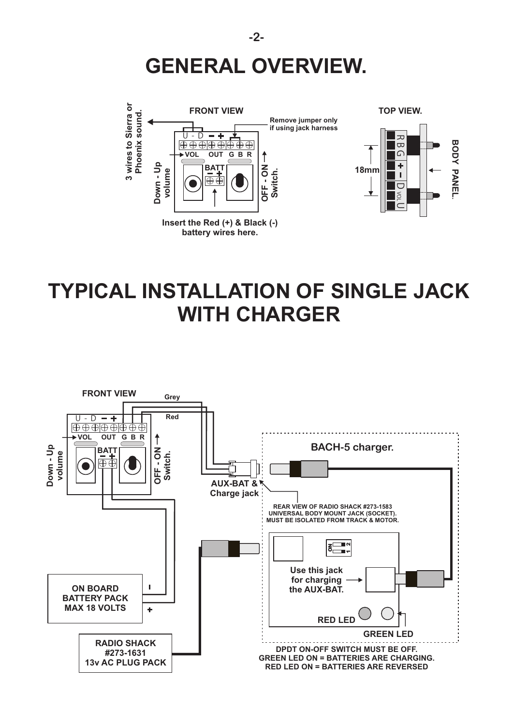



### **TYPICAL INSTALLATION OF SINGLE JACK WITH CHARGER**

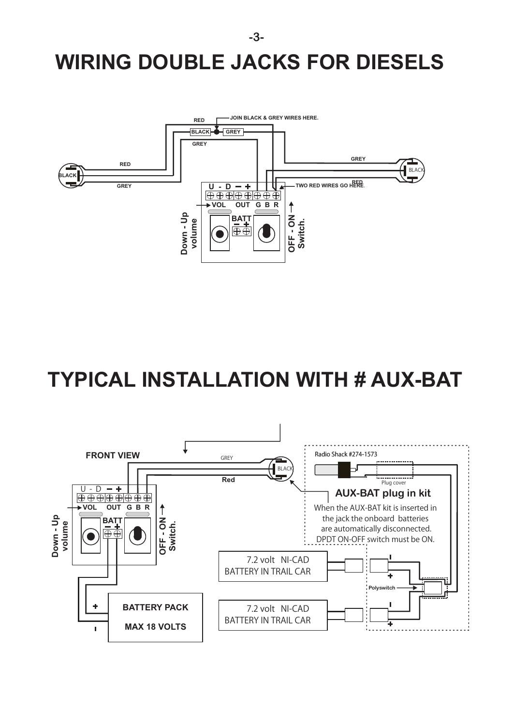# **WIRING DOUBLE JACKS FOR DIESELS**



## **TYPICAL INSTALLATION WITH # AUX-BAT**



**-3-**